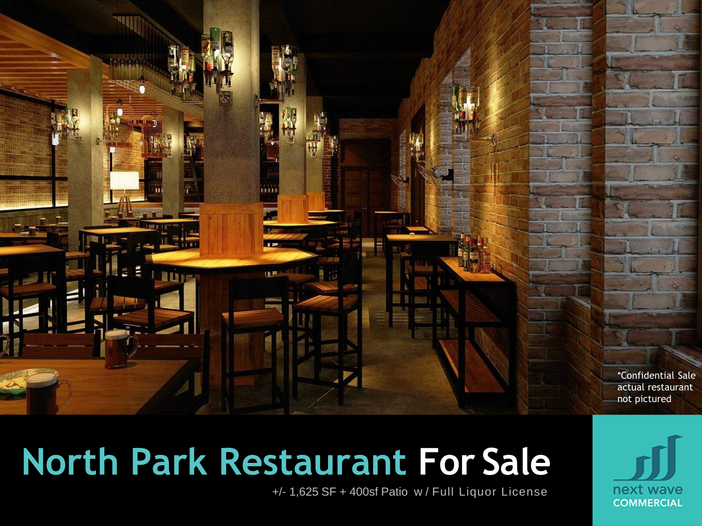

# **North Park Restaurant For Sale**

+/- 1,625 SF + 400sf Patio w / Full Liquor License